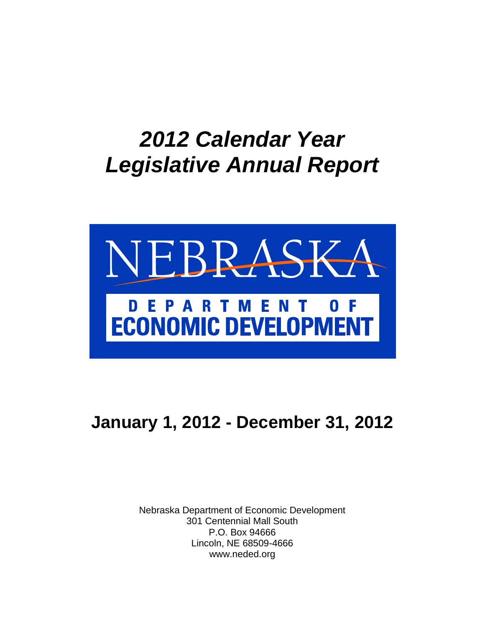# *2012 Calendar Year Legislative Annual Report*



# **January 1, 2012 - December 31, 2012**

Nebraska Department of Economic Development 301 Centennial Mall South P.O. Box 94666 Lincoln, NE 68509-4666 www.neded.org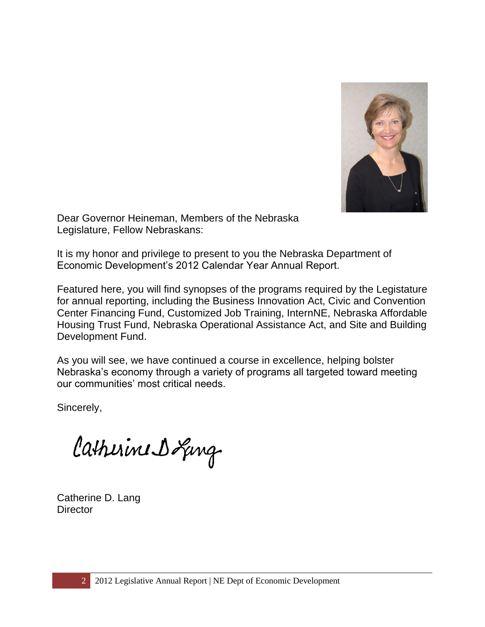

Dear Governor Heineman, Members of the Nebraska Legislature, Fellow Nebraskans:

It is my honor and privilege to present to you the Nebraska Department of Economic Development's 2012 Calendar Year Annual Report.

Featured here, you will find synopses of the programs required by the Legistature for annual reporting, including the Business Innovation Act, Civic and Convention Center Financing Fund, Customized Job Training, InternNE, Nebraska Affordable Housing Trust Fund, Nebraska Operational Assistance Act, and Site and Building Development Fund.

As you will see, we have continued a course in excellence, helping bolster Nebraska's economy through a variety of programs all targeted toward meeting our communities' most critical needs.

Sincerely,

Catherine Doging

Catherine D. Lang **Director**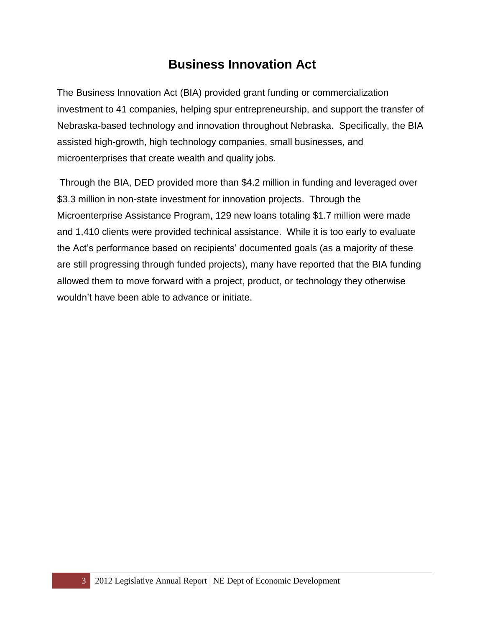#### **Business Innovation Act**

The Business Innovation Act (BIA) provided grant funding or commercialization investment to 41 companies, helping spur entrepreneurship, and support the transfer of Nebraska-based technology and innovation throughout Nebraska. Specifically, the BIA assisted high-growth, high technology companies, small businesses, and microenterprises that create wealth and quality jobs.

Through the BIA, DED provided more than \$4.2 million in funding and leveraged over \$3.3 million in non-state investment for innovation projects. Through the Microenterprise Assistance Program, 129 new loans totaling \$1.7 million were made and 1,410 clients were provided technical assistance. While it is too early to evaluate the Act's performance based on recipients' documented goals (as a majority of these are still progressing through funded projects), many have reported that the BIA funding allowed them to move forward with a project, product, or technology they otherwise wouldn't have been able to advance or initiate.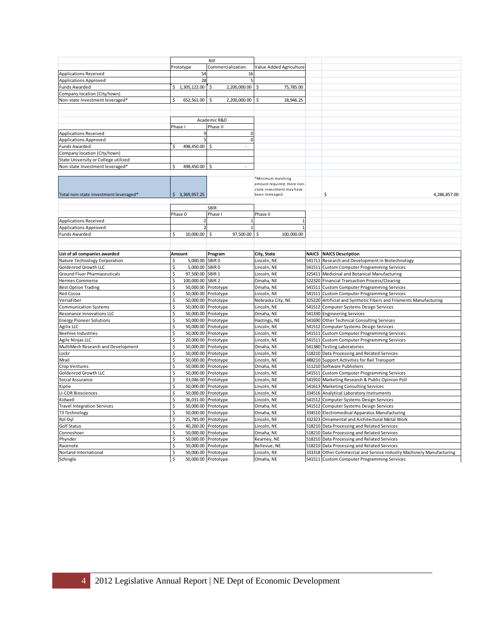|                                       |                         | <b>NIF</b>                             |                            |        |                                                                      |
|---------------------------------------|-------------------------|----------------------------------------|----------------------------|--------|----------------------------------------------------------------------|
|                                       | Prototype               | Commercialization                      | Value Added Agriculture    |        |                                                                      |
| <b>Applications Received</b>          | 54                      | 16                                     |                            |        |                                                                      |
| Applications Approved                 | 28                      |                                        |                            |        |                                                                      |
| Funds Awarded                         | 1,305,122.00<br>Ś.      | 2,200,000.00<br>Ŝ.                     | 75,785.00<br>Ś.            |        |                                                                      |
| Company location (City/town)          |                         |                                        |                            |        |                                                                      |
| Non-state Investment leveraged*       | Ś<br>652,561.00         | Ś<br>2,200,000.00                      | 18,946.25                  |        |                                                                      |
|                                       |                         |                                        |                            |        |                                                                      |
|                                       |                         |                                        |                            |        |                                                                      |
|                                       | Academic R&D            |                                        |                            |        |                                                                      |
|                                       | Phase I                 | Phase II                               |                            |        |                                                                      |
| <b>Applications Received</b>          | $\mathsf{q}$            | $\mathbf 0$                            |                            |        |                                                                      |
| <b>Applications Approved</b>          | 5                       | $\mathbf 0$                            |                            |        |                                                                      |
| <b>Funds Awarded</b>                  | 498,450.00<br>Ś         | Ś.<br>$\blacksquare$                   |                            |        |                                                                      |
| Company location (City/town)          |                         |                                        |                            |        |                                                                      |
| State University or College utilized  |                         |                                        |                            |        |                                                                      |
| Non-state Investment leveraged*       | 498,450.00              | Ś                                      |                            |        |                                                                      |
|                                       |                         |                                        |                            |        |                                                                      |
|                                       |                         |                                        | *Minimum matching          |        |                                                                      |
|                                       |                         |                                        | amount required, more non- |        |                                                                      |
|                                       |                         |                                        | state investment may have  |        |                                                                      |
| Total non-state investment leveraged* | \$3,369,957.25          |                                        | been levreaged.            |        | \$<br>4,286,857.00                                                   |
|                                       |                         |                                        |                            |        |                                                                      |
|                                       |                         | <b>SBIR</b>                            |                            |        |                                                                      |
|                                       | Phase 0                 | Phase I                                | Phase II                   |        |                                                                      |
| <b>Applications Received</b>          |                         |                                        |                            |        |                                                                      |
| <b>Applications Approved</b>          | $\mathcal{I}$           |                                        |                            |        |                                                                      |
| <b>Funds Awarded</b>                  | \$<br>10,000.00         | $\boldsymbol{\mathsf{S}}$<br>97,500.00 | \$<br>100,000.00           |        |                                                                      |
|                                       |                         |                                        |                            |        |                                                                      |
|                                       |                         |                                        |                            |        |                                                                      |
| List of all companies awarded         | Amount                  | Program                                | City, State                |        | <b>NAICS</b> NAICS Description                                       |
| Nature Technology Corporation         | 5,000.00<br>\$          | SBIR <sub>0</sub>                      | Lincoln, NE                | 541711 | Research and Development in Biotechnology                            |
| Goldenrod Growth LLC                  | Ś<br>5,000.00           | SBIR <sub>0</sub>                      | Lincoln, NE                | 541511 | <b>Custom Computer Programming Services</b>                          |
| Ground Fluor Pharmaceuticals          | \$<br>97,500.00 SBIR 1  |                                        | Lincoln, NE                |        | 325411 Medicinal and Botanical Manufacturing                         |
| Hermes Commerce                       | \$<br>100,000.00 SBIR 2 |                                        | Omaha, NE                  |        | 522320 Financial Transaction Process/Clearing                        |
| <b>Best Option Trading</b>            | \$                      | 50,000.00 Prototype                    | Omaha, NE                  |        | 541511 Custom Computer Programming Services                          |
| Red Cocoa                             | \$                      | 50,000.00 Prototype                    | Lincoln, NE                |        | 541511 Custom Computer Programming Services                          |
| VersaFiber                            | \$                      | 50,000.00 Prototype                    | Nebraska City, NE          |        | 325220 Artificial and Synthetic Fibers and Filaments Manufacturing   |
| <b>Communication Systems</b>          | \$                      | 50,000.00 Prototype                    | Lincoln, NE                | 541512 | Computer Systems Design Services                                     |
| Resonance Innovations LLC             | \$                      | 50,000.00 Prototype                    | Omaha, NE                  |        | 541330 Engineering Services                                          |
| <b>Energy Pioneer Solutions</b>       | \$                      | 50,000.00 Prototype                    | Hastings, NE               |        | 541690 Other Technical Consulting Services                           |
| Agilix LLC                            | \$                      | 50,000.00 Prototype                    | Lincoln, NE                | 541512 | <b>Computer Systems Design Services</b>                              |
| <b>Beehive Industries</b>             | \$                      | 50,000.00 Prototype                    | Lincoln, NE                | 541511 | <b>Custom Computer Programming Services</b>                          |
| Agile Ninjas LLC                      | \$                      | 20,000.00 Prototype                    | Lincoln, NE                | 541511 | <b>Custom Computer Programming Services</b>                          |
| MultiMech Research and Development    | \$                      | 50,000.00 Prototype                    | Omaha, NE                  | 541380 | <b>Testing Laboratories</b>                                          |
| Lockr                                 | \$<br>50,000.00         | Prototype                              | Lincoln, NE                | 518210 | Data Processing and Related Services                                 |
| Mrail                                 | \$                      | 50,000.00 Prototype                    | Lincoln, NE                | 488210 | Support Activities for Rail Transport                                |
| <b>Crop Ventures</b>                  | \$                      | 50,000.00 Prototype                    | Omaha, NE                  |        | 511210 Software Publishers                                           |
| Goldenrod Growth LLC                  | \$                      | 50,000.00 Prototype                    | Lincoln, NE                |        | 541511 Custom Computer Programming Services                          |
| Social Assurance                      | \$                      | 33,046.00 Prototype                    | Lincoln, NE                |        | 541910 Marketing Research & Public Opinion Poll                      |
| Kiplie                                | \$<br>50,000.00         | Prototype                              | Lincoln, NE                | 541613 | <b>Marketing Consulting Services</b>                                 |
| LI-COR Biosciences                    | \$                      | 50,000.00 Prototype                    | Lincoln, NE                |        | 334516 Analytical Laboratory Instruments                             |
| Kidwell                               | \$<br>36,031.00         | Prototype                              | Lincoln, NE                | 541512 | <b>Computer Systems Design Services</b>                              |
| <b>Travel Integration Services</b>    | \$                      | 50,000.00 Prototype                    | Omaha, NE                  | 541512 | Computer Systems Design Services                                     |
| T3 Technology                         | \$<br>50,000.00         | Prototype                              | Omaha, NE                  |        | 334510 Electromedical Apparatus Manufacturing                        |
| Rol Oyl                               | \$                      | 25,785.00 Prototype                    | Lincoln, NE                | 332323 | Ornamental and Architectural Metal Work                              |
| <b>Golf Status</b>                    | \$                      | 40,260.00 Prototype                    | Lincoln, NE                |        | 518210 Data Processing and Related Services                          |
| Connoshoer                            | \$                      | 50,000.00 Prototype                    | Omaha, NE                  | 518210 | Data Processing and Related Services                                 |
| Phynder                               | \$                      | 50,000.00 Prototype                    | Kearney, NE                |        | 518210 Data Processing and Related Services                          |
| Racenote                              | Ś<br>50,000.00          | Prototype                              | Bellevue, NE               | 518210 | Data Processing and Related Services                                 |
| Norland International                 | \$                      | 50,000.00 Prototype                    | Lincoln, NE                |        | 333318 Other Commercial and Service Industry Machinery Manufacturing |
| Schingle                              | \$                      | 50,000.00 Prototype                    | Omaha, NE                  |        | 541511 Custom Computer Programming Services                          |
|                                       |                         |                                        |                            |        |                                                                      |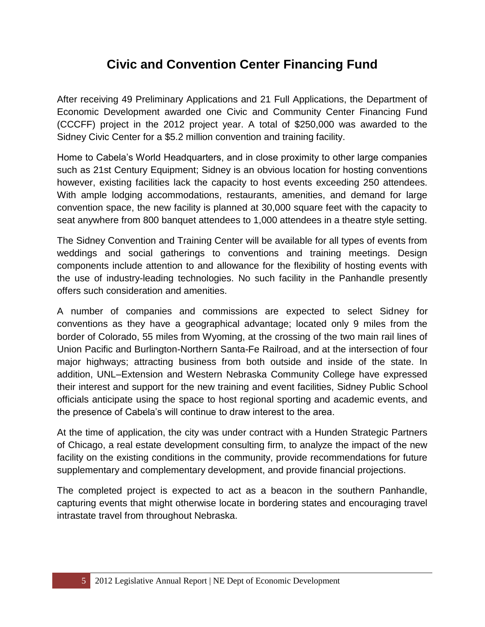### **Civic and Convention Center Financing Fund**

After receiving 49 Preliminary Applications and 21 Full Applications, the Department of Economic Development awarded one Civic and Community Center Financing Fund (CCCFF) project in the 2012 project year. A total of \$250,000 was awarded to the Sidney Civic Center for a \$5.2 million convention and training facility.

Home to Cabela's World Headquarters, and in close proximity to other large companies such as 21st Century Equipment; Sidney is an obvious location for hosting conventions however, existing facilities lack the capacity to host events exceeding 250 attendees. With ample lodging accommodations, restaurants, amenities, and demand for large convention space, the new facility is planned at 30,000 square feet with the capacity to seat anywhere from 800 banquet attendees to 1,000 attendees in a theatre style setting.

The Sidney Convention and Training Center will be available for all types of events from weddings and social gatherings to conventions and training meetings. Design components include attention to and allowance for the flexibility of hosting events with the use of industry-leading technologies. No such facility in the Panhandle presently offers such consideration and amenities.

A number of companies and commissions are expected to select Sidney for conventions as they have a geographical advantage; located only 9 miles from the border of Colorado, 55 miles from Wyoming, at the crossing of the two main rail lines of Union Pacific and Burlington-Northern Santa-Fe Railroad, and at the intersection of four major highways; attracting business from both outside and inside of the state. In addition, UNL–Extension and Western Nebraska Community College have expressed their interest and support for the new training and event facilities, Sidney Public School officials anticipate using the space to host regional sporting and academic events, and the presence of Cabela's will continue to draw interest to the area.

At the time of application, the city was under contract with a Hunden Strategic Partners of Chicago, a real estate development consulting firm, to analyze the impact of the new facility on the existing conditions in the community, provide recommendations for future supplementary and complementary development, and provide financial projections.

The completed project is expected to act as a beacon in the southern Panhandle, capturing events that might otherwise locate in bordering states and encouraging travel intrastate travel from throughout Nebraska.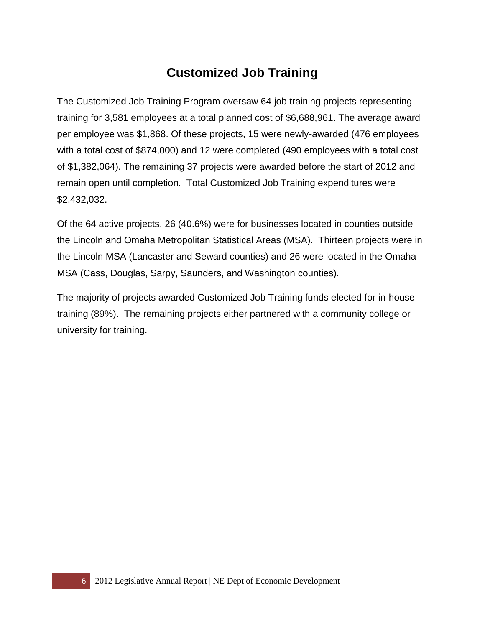## **Customized Job Training**

The Customized Job Training Program oversaw 64 job training projects representing training for 3,581 employees at a total planned cost of \$6,688,961. The average award per employee was \$1,868. Of these projects, 15 were newly-awarded (476 employees with a total cost of \$874,000) and 12 were completed (490 employees with a total cost of \$1,382,064). The remaining 37 projects were awarded before the start of 2012 and remain open until completion. Total Customized Job Training expenditures were \$2,432,032.

Of the 64 active projects, 26 (40.6%) were for businesses located in counties outside the Lincoln and Omaha Metropolitan Statistical Areas (MSA). Thirteen projects were in the Lincoln MSA (Lancaster and Seward counties) and 26 were located in the Omaha MSA (Cass, Douglas, Sarpy, Saunders, and Washington counties).

The majority of projects awarded Customized Job Training funds elected for in-house training (89%). The remaining projects either partnered with a community college or university for training.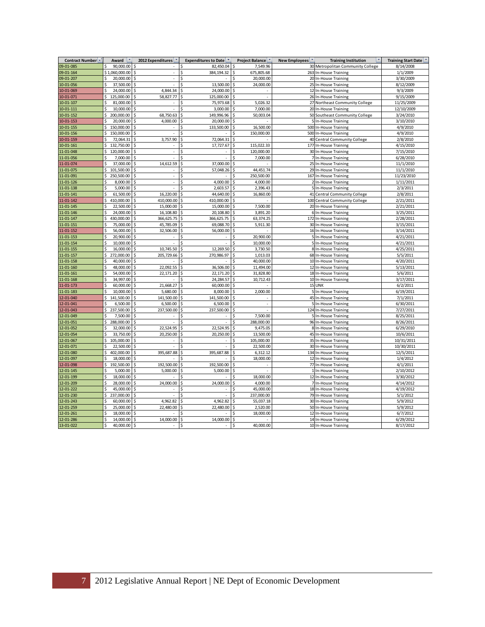| Contract Number -      | Award                     | 2012 Expenditures        | <b>Expenditures to Date</b> | <b>Project Balance</b><br>New Employees |     | <b>Training Institution</b>                | <b>Training Start Date</b> |  |
|------------------------|---------------------------|--------------------------|-----------------------------|-----------------------------------------|-----|--------------------------------------------|----------------------------|--|
| 09-01-085              | 90.000.00<br>Ś            |                          | 82.450.04                   | 7,549.96                                |     | 30 Metropolitan Community College          | 8/14/2008                  |  |
| 09-01-164              | \$1,060,000.00            | $\overline{\phantom{a}}$ | 384,194.32                  | 675,805.68<br>Ś                         |     | 263 In-House Training                      | 1/1/2009                   |  |
| 09-01-207              | 20,000.00                 | i,                       |                             | 20,000.00                               |     | 20 In-House Training                       | 3/30/2009                  |  |
| 10-01-056              | Ś<br>37,500.00            | ä,                       | 13,500.00                   | 24,000.00                               |     | 25 In-House Training                       | 8/12/2009                  |  |
| 10-01-069              | 24,000.00                 | 4,844.34                 | 24,000.00                   |                                         |     | 12 In-House Training                       | 9/3/2009                   |  |
| 10-01-071              | 125,000.00<br>\$          | 58,827.77                | 125,000.00                  | S                                       |     | 26 In-House Training                       | 9/15/2009                  |  |
| 10-01-107              | Ś<br>81,000.00            | L.                       | 75,973.68<br>ς              | Ś<br>5,026.32                           |     | 27 Northeast Community College             | 11/25/2009                 |  |
| 10-01-111              | Ś<br>10,000.00            |                          | 3,000.00                    | 7,000.00<br>\$                          |     | 20 In-House Training                       | 12/10/2009                 |  |
| 10-01-152              | \$<br>200,000.00          | 68,750.63                | Ś<br>149,996.96             | 50,003.04<br>\$                         |     | 50 Southeast Community College             | 3/24/2010                  |  |
| 10-01-153              | Ś<br>20,000.00            | 4,000.00                 | Ś<br>20,000.00              | \$                                      |     | 5 In-House Training                        | 3/10/2010                  |  |
| 10-01-155              | \$<br>150,000.00          | Ś<br>J,                  | 133,500.00                  | Ś<br>16,500.00                          |     | 500 In-House Training                      | 4/9/2010                   |  |
| 10-01-156              | Ś<br>150,000.00           |                          |                             | Ś<br>150,000.00                         |     | 500 In-House Training                      | 4/9/2010                   |  |
| 10-01-159              | \$<br>72,064.31           | 3,757.90                 | 72,064.31<br>Ś              | \$                                      |     | 40 Central Community College               | 2/8/2010                   |  |
| 10-01-161              | Ś<br>132,750.00           |                          | 17,727.67                   | 115,022.33<br>Ś                         | 177 | In-House Training                          | 4/15/2010                  |  |
| 11-01-048              | 120,000.00<br>\$          | J,                       | ÷,                          | \$<br>120,000.00                        |     | 30 In-House Training                       | 7/15/2010                  |  |
| 11-01-056              | Ś<br>7,000.00             | L.                       |                             | Ś<br>7,000.00                           |     | 7 In-House Training                        | 6/28/2010                  |  |
| 11-01-074              | \$<br>37,000.00           | 14,612.59                | 37,000.00                   | Ś                                       |     | 25 In-House Training                       | 11/1/2010                  |  |
| 11-01-075              | 101,500.00<br>\$          | J.                       | 57,048.26<br>Ś              | 44,451.74<br>Ś                          |     | 29 In-House Training                       | 11/1/2010                  |  |
| 11-01-091              | \$<br>250,500.00          | l,                       |                             | 250,500.00                              |     | 167 In-House Training                      | 11/23/2010                 |  |
|                        | Ś                         | $\overline{\phantom{a}}$ |                             | Ŝ                                       |     |                                            |                            |  |
| 11-01-126<br>11-01-138 | 8,000.00<br>Ś<br>5,000.00 | $\overline{a}$           | 4,000.00<br>2,603.57        | 4,000.00<br>\$<br>2,396.43              |     | 2 In-House Training<br>5 In-House Training | 1/11/2011<br>2/3/2011      |  |
|                        |                           |                          |                             |                                         |     |                                            |                            |  |
| 11-01-141              | \$<br>61,500.00           | 16,220.00                | 44,640.00                   | 16,860.00<br>\$                         |     | 41 Central Community College               | 2/8/2011                   |  |
| 11-01-142              | \$<br>410,000.00          | 410,000.00               | 410,000.00                  | Ś                                       | 100 | <b>Central Community College</b>           | 2/21/2011                  |  |
| 11-01-145              | 22,500.00<br>Ś            | 15,000.00                | 15,000.00                   | 7,500.00                                |     | 20 In-House Training                       | 2/21/2011                  |  |
| 11-01-146              | \$<br>24,000.00           | 16,108.80                | 20,108.80<br>Ś              | Ś<br>3,891.20                           |     | 6 In-House Training                        | 3/25/2011                  |  |
| 11-01-147              | \$<br>430,000.00          | 366,625.75               | 366,625.75                  | Ś<br>63,374.25                          |     | 172 In-House Training                      | 2/28/2011                  |  |
| 11-01-151              | 75,000.00<br>Ś            | 45,785.09                | 69,088.70                   | 5,911.30<br>Ś                           |     | 30 In-House Training                       | 3/15/2011                  |  |
| 11-01-152              | 56.000.00<br>Ś            | 32,506.00                | 56,000.00                   |                                         |     | 16 In-House Training                       | 3/14/2011                  |  |
| 11-01-153              | Ś<br>20,900.00            | ä,                       | ÷,                          | 20.900.00<br>Ś                          |     | 5 In-House Training                        | 4/21/2011                  |  |
| 11-01-154              | Ś<br>10,000.00            |                          |                             | 10,000.00                               |     | 5 In-House Training                        | 4/21/2011                  |  |
| 11-01-155              | Ś<br>16,000.00            | 10,745.50                | 12,269.50                   | 3,730.50                                |     | 8 In-House Training                        | 4/25/2011                  |  |
| 11-01-157              | Ś<br>272,000.00           | 205,729.66               | 270,986.97                  | 1,013.03                                |     | 68 In-House Training                       | 5/5/2011                   |  |
| 11-01-158              | 40,000.00<br>\$           |                          | Ś                           | 40,000.00<br>Ś                          |     | 10 In-House Training                       | 4/20/2011                  |  |
| 11-01-160              | Ś<br>48,000.00            | 22,092.55                | 36,506.00<br>Ś              | \$<br>11,494.00                         |     | 12 In-House Training                       | 5/13/2011                  |  |
| 11-01-161              | \$<br>54,000.00           | Ś<br>22,171.20           | Ś<br>22,171.20              | \$<br>31,828.80                         |     | 18 In-House Training                       | 5/6/2011                   |  |
| 11-01-168              | Ś<br>34.997.00            |                          | 24.284.57                   | 10,712.43<br>Ś                          |     | 10 In-House Training                       | 3/17/2011                  |  |
| 11-01-173              | Ś<br>60,000.00            | 21,668.27                | 60,000.00                   | \$                                      |     | 15 UNK                                     | 6/2/2011                   |  |
| 11-01-183              | Ś<br>10,000.00            | 5,680.00                 | 8,000.00                    | 2,000.00<br>Ś                           |     | 5 In-House Training                        | 6/19/2011                  |  |
| 12-01-040              | \$<br>141,500.00          | 141,500.00               | 141,500.00                  | Ś                                       |     | 45 In-House Training                       | 7/1/2011                   |  |
| 12-01-041              | Ś<br>6,500.00             | 6,500.00                 | 6,500.00                    | \$<br>i,                                |     | 5 In-House Training                        | 6/30/2011                  |  |
| 12-01-043              | \$<br>237,500.00          | 237,500.00               | 237,500.00                  | Ś                                       |     | 124 In-House Training                      | 7/27/2011                  |  |
| 12-01-049              | 7,500.00<br>Ś             |                          |                             | 7,500.00<br>Ś                           |     | 5 In-House Training                        | 8/25/2011                  |  |
| 12-01-051              | \$<br>288,000.00          | L.                       | ÷,                          | Ś<br>288,000.00                         |     | 96 In-House Training                       | 8/26/2011                  |  |
| 12-01-052              | 32,000.00<br>\$           | 22,524.95                | 22,524.95                   | 9,475.05<br>Ś                           |     | 8 In-House Training                        | 6/29/2010                  |  |
| 12-01-054              | \$<br>33,750.00           | 20,250.00                | 20,250.00<br>Ś              | 13,500.00<br>\$                         |     | 45 In-House Training                       | 10/6/2011                  |  |
| 12-01-067              | Ś<br>105,000.00           |                          |                             | 105,000.00                              |     | 35 In-House Training                       | 10/31/2011                 |  |
| 12-01-071              | Ś<br>22,500.00            | ÷,                       |                             | 22,500.00<br>Ś                          |     | 30 In-House Training                       | 10/30/2011                 |  |
| 12-01-080              | \$<br>402,000.00          | 395,687.88               | 395,687.88                  | Ś<br>6,312.12                           |     | 134 In-House Training                      | 12/5/2011                  |  |
| 12-01-097              | Ś<br>18,000.00            |                          |                             | 18,000.00<br>Ś                          |     | 12 In-House Training                       | 1/4/2012                   |  |
| 12-01-098              | 192,500.00<br>Ś           | 192,500.00               | 192,500.00                  |                                         |     | 77 In-House Training                       | 4/1/2011                   |  |
| 12-01-145              | Ś<br>5,000.00             | 5,000.00                 | 5,000.00<br>Ś               | \$                                      |     | 1 In-House Training                        | 2/10/2012                  |  |
| 12-01-199              | Ś<br>18,000.00            |                          |                             | \$<br>18,000.00                         |     | 12 In-House Training                       | 3/30/2012                  |  |
| 12-01-209              | \$<br>28,000.00           | 24,000.00                | 24,000.00                   | 4,000.00                                |     | 7 In-House Training                        | 4/14/2012                  |  |
| 12-01-222              | 45,000.00<br>Ś            | J.                       |                             | 45.000.00                               |     | 18 In-House Training                       | 4/19/2012                  |  |
| 12-01-230              | Ś<br>237,000.00           |                          |                             | 237,000.00                              |     | 79 In-House Training                       | 5/1/2012                   |  |
| 12-01-243              | Ś<br>60,000.00            | 4,962.82                 | 4,962.82                    | Ś<br>55,037.18                          |     | 30 In-House Training                       | 5/9/2012                   |  |
| 12-01-259              | Ś<br>25,000.00            | 22,480.00                | 22,480.00                   | 2,520.00                                |     | 50 In-House Training                       | 5/9/2012                   |  |
| 12-01-261              | Ś<br>18,000.00            |                          |                             | 18,000.00                               |     | 12 In-House Training                       | 6/7/2012                   |  |
| 12-01-286              | 14,000.00<br>Ś            | 14,000.00                | 14,000.00<br>ሩ              | Ś                                       |     | 14 In-House Training                       | 6/29/2012                  |  |
| 13-01-022              | \$<br>40,000.00           | \$<br>$\overline{a}$     | Ś<br>÷                      | \$<br>40,000.00                         |     | 10 In-House Training                       | 8/17/2012                  |  |
|                        |                           |                          |                             |                                         |     |                                            |                            |  |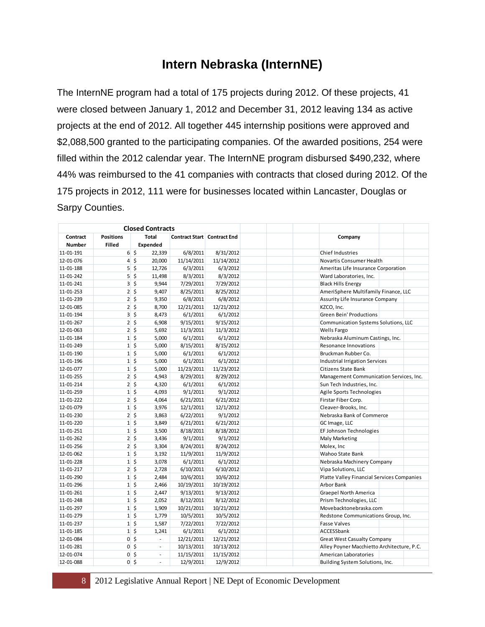#### **Intern Nebraska (InternNE)**

The InternNE program had a total of 175 projects during 2012. Of these projects, 41 were closed between January 1, 2012 and December 31, 2012 leaving 134 as active projects at the end of 2012. All together 445 internship positions were approved and \$2,088,500 granted to the participating companies. Of the awarded positions, 254 were filled within the 2012 calendar year. The InternNE program disbursed \$490,232, where 44% was reimbursed to the 41 companies with contracts that closed during 2012. Of the 175 projects in 2012, 111 were for businesses located within Lancaster, Douglas or Sarpy Counties.

| <b>Closed Contracts</b> |                                   |                            |                          |                                    |            |                                            |
|-------------------------|-----------------------------------|----------------------------|--------------------------|------------------------------------|------------|--------------------------------------------|
| Contract<br>Number      | <b>Positions</b><br><b>Filled</b> |                            | Total<br>Expended        | <b>Contract Start Contract End</b> |            | Company                                    |
| 11-01-191               |                                   | 65                         | 22,339                   | 6/8/2011                           | 8/31/2012  | Chief Industries                           |
| 12-01-076               |                                   | $4\overline{5}$            | 20,000                   | 11/14/2011                         | 11/14/2012 | Novartis Consumer Health                   |
| 11-01-188               |                                   | $5\overline{\right}$ \$    | 12,726                   | 6/3/2011                           | 6/3/2012   | Ameritas Life Insurance Corporation        |
| 11-01-242               |                                   | $5\overline{\smash{5}}$    | 11,498                   | 8/3/2011                           | 8/3/2012   | Ward Laboratories, Inc.                    |
| 11-01-241               |                                   | $3\overline{5}$            | 9,944                    | 7/29/2011                          | 7/29/2012  | <b>Black Hills Energy</b>                  |
| 11-01-253               |                                   | $2\frac{1}{5}$             | 9,407                    | 8/25/2011                          | 8/25/2012  | AmeriSphere Multifamily Finance, LLC       |
| 11-01-239               |                                   | $2\overline{5}$            | 9,350                    | 6/8/2011                           | 6/8/2012   | Assurity Life Insurance Company            |
| 12-01-085               |                                   | $2 \mid 5$                 | 8,700                    | 12/21/2011                         | 12/21/2012 | KZCO, Inc.                                 |
| 11-01-194               |                                   | $3\overline{5}$            | 8,473                    | 6/1/2011                           | 6/1/2012   | <b>Green Bein' Productions</b>             |
| 11-01-267               |                                   | $2\overline{5}$            | 6,908                    | 9/15/2011                          | 9/15/2012  | Communication Systems Solutions, LLC       |
| 12-01-063               |                                   | $2 \mid 5$                 | 5,692                    | 11/3/2011                          | 11/3/2012  | <b>Wells Fargo</b>                         |
| 11-01-184               |                                   | $1\overline{5}$            | 5,000                    | 6/1/2011                           | 6/1/2012   | Nebraska Aluminum Castings, Inc.           |
| 11-01-249               |                                   | $1 \,$ \$                  | 5,000                    | 8/15/2011                          | 8/15/2012  | Resonance Innovations                      |
| 11-01-190               |                                   | $1\overline{\phantom{0}}$  | 5,000                    | 6/1/2011                           | 6/1/2012   | Bruckman Rubber Co.                        |
| 11-01-196               |                                   | $1 \,$ \$                  | 5,000                    | 6/1/2011                           | 6/1/2012   | <b>Industrial Irrigation Services</b>      |
| 12-01-077               |                                   | $1\overline{\phantom{0}}$  | 5,000                    | 11/23/2011                         | 11/23/2012 | Citizens State Bank                        |
| 11-01-255               |                                   | $2\overline{5}$            | 4,943                    | 8/29/2011                          | 8/29/2012  | Management Communication Services, Inc.    |
| 11-01-214               |                                   | $2 \mid 5$                 | 4,320                    | 6/1/2011                           | 6/1/2012   | Sun Tech Industries, Inc.                  |
| 11-01-259               |                                   | $1\overline{\phantom{0}}$  | 4,093                    | 9/1/2011                           | 9/1/2012   | Agile Sports Technologies                  |
| 11-01-222               |                                   | $2\overline{5}$            | 4,064                    | 6/21/2011                          | 6/21/2012  | Firstar Fiber Corp.                        |
| 12-01-079               |                                   | $1\overline{\phantom{0}}$  | 3,976                    | 12/1/2011                          | 12/1/2012  | Cleaver-Brooks, Inc.                       |
| 11-01-230               |                                   | $2 \mid 5$                 | 3,863                    | 6/22/2011                          | 9/1/2012   | Nebraska Bank of Commerce                  |
| 11-01-220               |                                   | $1 \,$ \$                  | 3,849                    | 6/21/2011                          | 6/21/2012  | GC Image, LLC                              |
| 11-01-251               |                                   | $1\overline{\phantom{0}}$  | 3,500                    | 8/18/2011                          | 8/18/2012  | EF Johnson Technologies                    |
| 11-01-262               |                                   | $2 \mid 5$                 | 3,436                    | 9/1/2011                           | 9/1/2012   | Maly Marketing                             |
| 11-01-256               |                                   | $2 \mid 5$                 | 3,304                    | 8/24/2011                          | 8/24/2012  | Molex, Inc                                 |
| 12-01-062               |                                   | $1\overline{\phantom{0}}$  | 3,192                    | 11/9/2011                          | 11/9/2012  | Wahoo State Bank                           |
| 11-01-228               |                                   | $1 \,$ \$                  | 3,078                    | 6/1/2011                           | 6/1/2012   | Nebraska Machinery Company                 |
| 11-01-217               |                                   | $2 \overline{\phantom{a}}$ | 2,728                    | 6/10/2011                          | 6/10/2012  | Vipa Solutions, LLC                        |
| 11-01-290               |                                   | $1\overline{\phantom{0}}$  | 2,484                    | 10/6/2011                          | 10/6/2012  | Platte Valley Financial Services Companies |
| 11-01-296               |                                   | $1\overline{\phantom{0}}$  | 2,466                    | 10/19/2011                         | 10/19/2012 | Arbor Bank                                 |
| 11-01-261               |                                   | $1\overline{\phantom{0}}$  | 2,447                    | 9/13/2011                          | 9/13/2012  | <b>Graepel North America</b>               |
| 11-01-248               |                                   | $1\overline{\phantom{0}}$  | 2,052                    | 8/12/2011                          | 8/12/2012  | Prism Technologies, LLC                    |
| 11-01-297               |                                   | $1\overline{\phantom{0}}$  | 1,909                    | 10/21/2011                         | 10/21/2012 | Movebacktonebraska.com                     |
| 11-01-279               |                                   | $1\overline{\phantom{0}}$  | 1,779                    | 10/5/2011                          | 10/5/2012  | Redstone Communications Group, Inc.        |
| 11-01-237               |                                   | $1\overline{\phantom{0}}$  | 1,587                    | 7/22/2011                          | 7/22/2012  | <b>Fasse Valves</b>                        |
| 11-01-185               |                                   | $1\overline{\phantom{0}}$  | 1,241                    | 6/1/2011                           | 6/1/2012   | ACCESSbank                                 |
| 12-01-084               |                                   | $0$ \$                     | $\sim$                   | 12/21/2011                         | 12/21/2012 | <b>Great West Casualty Company</b>         |
| 11-01-281               |                                   | $0\overline{5}$            | $\overline{\phantom{a}}$ | 10/13/2011                         | 10/13/2012 | Alley Poyner Macchietto Architecture, P.C. |
| 12-01-074               |                                   | $0\vert$ \$                | $\sim$                   | 11/15/2011                         | 11/15/2012 | American Laboratories                      |
| 12-01-088               |                                   | $0\sqrt{5}$                | ÷.                       | 12/9/2011                          | 12/9/2012  | Building System Solutions, Inc.            |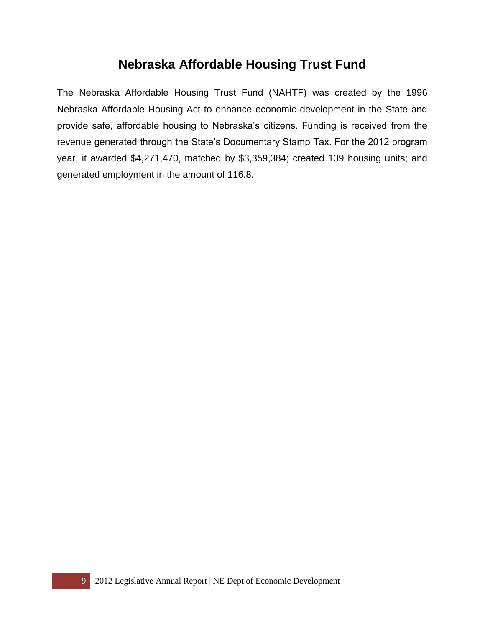#### **Nebraska Affordable Housing Trust Fund**

The Nebraska Affordable Housing Trust Fund (NAHTF) was created by the 1996 Nebraska Affordable Housing Act to enhance economic development in the State and provide safe, affordable housing to Nebraska's citizens. Funding is received from the revenue generated through the State's Documentary Stamp Tax. For the 2012 program year, it awarded \$4,271,470, matched by \$3,359,384; created 139 housing units; and generated employment in the amount of 116.8.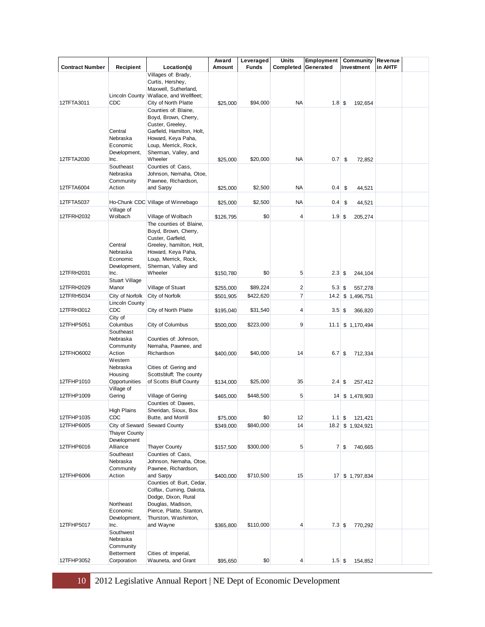|                        |                                     |                                                  | Award     | Leveraged    | <b>Units</b>   | Employment  | <b>Community Revenue</b> |         |  |
|------------------------|-------------------------------------|--------------------------------------------------|-----------|--------------|----------------|-------------|--------------------------|---------|--|
| <b>Contract Number</b> | Recipient                           | Location(s)                                      | Amount    | <b>Funds</b> | Completed      | Generated   | Investment               | in AHTF |  |
|                        |                                     | Villages of: Brady,<br>Curtis, Hershey,          |           |              |                |             |                          |         |  |
|                        |                                     | Maxwell, Sutherland,                             |           |              |                |             |                          |         |  |
|                        | Lincoln County                      | Wallace, and Wellfleet;                          |           |              |                |             |                          |         |  |
| 12TFTA3011             | CDC                                 | City of North Platte                             | \$25,000  | \$94,000     | <b>NA</b>      | $1.8$ \$    | 192,654                  |         |  |
|                        |                                     | Counties of: Blaine,<br>Boyd, Brown, Cherry,     |           |              |                |             |                          |         |  |
|                        |                                     | Custer, Greeley,                                 |           |              |                |             |                          |         |  |
|                        | Central                             | Garfield, Hamilton, Holt,                        |           |              |                |             |                          |         |  |
|                        | Nebraska                            | Howard, Keya Paha,                               |           |              |                |             |                          |         |  |
|                        | Economic<br>Development,            | Loup, Merrick, Rock,<br>Sherman, Valley, and     |           |              |                |             |                          |         |  |
| 12TFTA2030             | Inc.                                | Wheeler                                          | \$25,000  | \$20,000     | <b>NA</b>      | 0.7         | \$<br>72,852             |         |  |
|                        | Southeast                           | Counties of: Cass,                               |           |              |                |             |                          |         |  |
|                        | Nebraska<br>Community               | Johnson, Nemaha, Otoe,<br>Pawnee, Richardson,    |           |              |                |             |                          |         |  |
| 12TFTA6004             | Action                              | and Sarpy                                        | \$25,000  | \$2,500      | <b>NA</b>      | $0.4 \,$ \$ | 44,521                   |         |  |
|                        |                                     |                                                  |           |              |                |             |                          |         |  |
| 12TFTA5037             |                                     | Ho-Chunk CDC Village of Winnebago                | \$25,000  | \$2,500      | <b>NA</b>      | $0.4$ \$    | 44,521                   |         |  |
| 12TFRH2032             | Village of<br>Wolbach               | Village of Wolbach                               | \$126,795 | \$0          | 4              | $1.9$ \$    | 205,274                  |         |  |
|                        |                                     | The counties of: Blaine,                         |           |              |                |             |                          |         |  |
|                        |                                     | Boyd, Brown, Cherry,                             |           |              |                |             |                          |         |  |
|                        | Central                             | Custer, Garfield,<br>Greeley, hamilton, Holt,    |           |              |                |             |                          |         |  |
|                        | Nebraska                            | Howard, Keya Paha,                               |           |              |                |             |                          |         |  |
|                        | Economic                            | Loup, Merrick, Rock,                             |           |              |                |             |                          |         |  |
| 12TFRH2031             | Development,<br>Inc.                | Sherman, Valley and<br>Wheeler                   |           | \$0          | 5              | $2.3$ \$    | 244,104                  |         |  |
|                        | <b>Stuart Village</b>               |                                                  | \$150,780 |              |                |             |                          |         |  |
| 12TFRH2029             | Manor                               | Village of Stuart                                | \$255,000 | \$89,224     | $\mathbf{2}$   | $5.3$ \$    | 557,278                  |         |  |
| 12TFRH5034             | City of Norfolk                     | City of Norfolk                                  | \$501,905 | \$422,620    | $\overline{7}$ |             | 14.2 \$1,496,751         |         |  |
| 12TFRH3012             | Lincoln County<br>CDC               | City of North Platte                             |           | \$31,540     | 4              | 3.5         |                          |         |  |
|                        | City of                             |                                                  | \$195,040 |              |                |             | 366,820<br>\$            |         |  |
| 12TFHP5051             | Columbus                            | City of Columbus                                 | \$500,000 | \$223,000    | $\overline{9}$ |             | $11.1$ \$ 1,170,494      |         |  |
|                        | Southeast                           |                                                  |           |              |                |             |                          |         |  |
|                        | Nebraska<br>Community               | Counties of: Johnson,<br>Nemaha, Pawnee, and     |           |              |                |             |                          |         |  |
| 12TFHO6002             | Action                              | Richardson                                       | \$400,000 | \$40,000     | 14             | $6.7$ \$    | 712,334                  |         |  |
|                        | Western                             |                                                  |           |              |                |             |                          |         |  |
|                        | Nebraska<br>Housing                 | Cities of: Gering and<br>Scottsbluff; The county |           |              |                |             |                          |         |  |
| 12TFHP1010             | Opportunities                       | of Scotts Bluff County                           | \$134,000 | \$25,000     | 35             | 2.4         | \$<br>257,412            |         |  |
|                        | Village of                          |                                                  |           |              |                |             |                          |         |  |
| 12TFHP1009             | Gering                              | Village of Gering<br>Counties of: Dawes,         | \$465,000 | \$448,500    | 5              |             | 14 \$ 1,478,903          |         |  |
|                        | High Plains                         | Sheridan, Sioux, Box                             |           |              |                |             |                          |         |  |
| 12TFHP1035             | CDC                                 | Butte, and Morrill                               | \$75,000  | \$0          | 12             | $1.1 \,$ \$ | 121,421                  |         |  |
| 12TFHP6005             |                                     | City of Seward Seward County                     | \$349,000 | \$840,000    | 14             |             | 18.2 \$ 1,924,921        |         |  |
|                        | <b>Thayer County</b><br>Development |                                                  |           |              |                |             |                          |         |  |
| 12TFHP6016             | Alliance                            | <b>Thayer County</b>                             | \$157,500 | \$300,000    | 5              |             | $7 \,$ \$<br>740,665     |         |  |
|                        | Southeast                           | Counties of: Cass,                               |           |              |                |             |                          |         |  |
|                        | Nebraska<br>Community               | Johnson, Nemaha, Otoe,                           |           |              |                |             |                          |         |  |
| 12TFHP6006             | Action                              | Pawnee, Richardson,<br>and Sarpy                 | \$400,000 | \$710,500    | 15             |             | 17 \$ 1,797,834          |         |  |
|                        |                                     | Counties of: Burt, Cedar,                        |           |              |                |             |                          |         |  |
|                        |                                     | Colfax, Cuming, Dakota,                          |           |              |                |             |                          |         |  |
|                        | Northeast                           | Dodge, Dixon, Rural<br>Douglas, Madison,         |           |              |                |             |                          |         |  |
|                        | Economic                            | Pierce, Platte, Stanton,                         |           |              |                |             |                          |         |  |
|                        | Development,                        | Thurston, Washinton,                             |           |              |                |             |                          |         |  |
| 12TFHP5017             | Inc.<br>Southwest                   | and Wayne                                        | \$365,800 | \$110,000    | 4              | $7.3$ \$    | 770,292                  |         |  |
|                        | Nebraska                            |                                                  |           |              |                |             |                          |         |  |
|                        | Community                           |                                                  |           |              |                |             |                          |         |  |
| 12TFHP3052             | <b>Betterment</b><br>Corporation    | Cities of: Imperial,<br>Wauneta, and Grant       | \$95,650  | \$0          | 4              | $1.5$ \$    | 154,852                  |         |  |
|                        |                                     |                                                  |           |              |                |             |                          |         |  |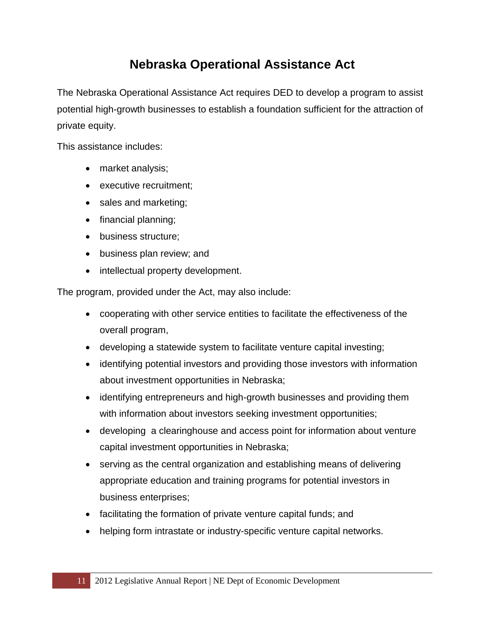## **Nebraska Operational Assistance Act**

The Nebraska Operational Assistance Act requires DED to develop a program to assist potential high-growth businesses to establish a foundation sufficient for the attraction of private equity.

This assistance includes:

- market analysis;
- executive recruitment;
- sales and marketing;
- financial planning;
- business structure;
- business plan review; and
- intellectual property development.

The program, provided under the Act, may also include:

- cooperating with other service entities to facilitate the effectiveness of the overall program,
- developing a statewide system to facilitate venture capital investing;
- identifying potential investors and providing those investors with information about investment opportunities in Nebraska;
- identifying entrepreneurs and high-growth businesses and providing them with information about investors seeking investment opportunities;
- developing a clearinghouse and access point for information about venture capital investment opportunities in Nebraska;
- serving as the central organization and establishing means of delivering appropriate education and training programs for potential investors in business enterprises;
- facilitating the formation of private venture capital funds; and
- helping form intrastate or industry-specific venture capital networks.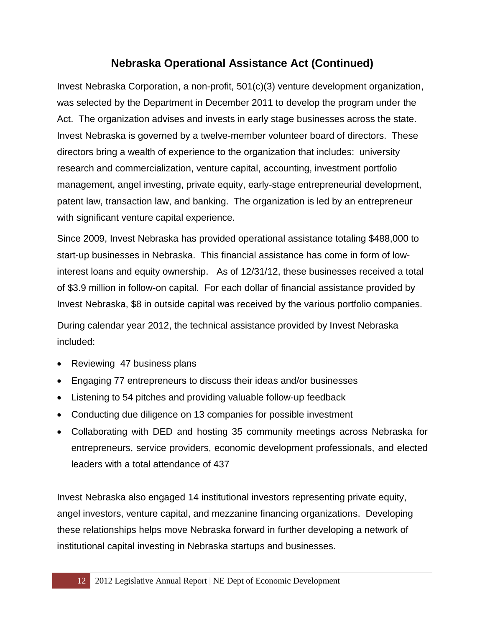#### **Nebraska Operational Assistance Act (Continued)**

Invest Nebraska Corporation, a non-profit, 501(c)(3) venture development organization, was selected by the Department in December 2011 to develop the program under the Act. The organization advises and invests in early stage businesses across the state. Invest Nebraska is governed by a twelve-member volunteer board of directors. These directors bring a wealth of experience to the organization that includes: university research and commercialization, venture capital, accounting, investment portfolio management, angel investing, private equity, early-stage entrepreneurial development, patent law, transaction law, and banking. The organization is led by an entrepreneur with significant venture capital experience.

Since 2009, Invest Nebraska has provided operational assistance totaling \$488,000 to start-up businesses in Nebraska. This financial assistance has come in form of lowinterest loans and equity ownership. As of 12/31/12, these businesses received a total of \$3.9 million in follow-on capital. For each dollar of financial assistance provided by Invest Nebraska, \$8 in outside capital was received by the various portfolio companies.

During calendar year 2012, the technical assistance provided by Invest Nebraska included:

- Reviewing 47 business plans
- Engaging 77 entrepreneurs to discuss their ideas and/or businesses
- Listening to 54 pitches and providing valuable follow-up feedback
- Conducting due diligence on 13 companies for possible investment
- Collaborating with DED and hosting 35 community meetings across Nebraska for entrepreneurs, service providers, economic development professionals, and elected leaders with a total attendance of 437

Invest Nebraska also engaged 14 institutional investors representing private equity, angel investors, venture capital, and mezzanine financing organizations. Developing these relationships helps move Nebraska forward in further developing a network of institutional capital investing in Nebraska startups and businesses.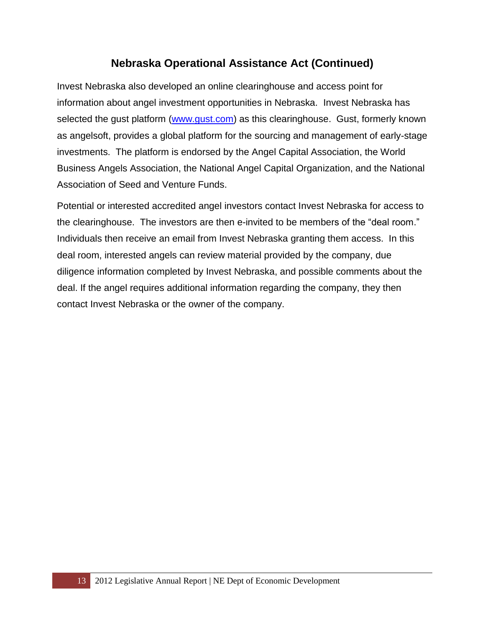#### **Nebraska Operational Assistance Act (Continued)**

Invest Nebraska also developed an online clearinghouse and access point for information about angel investment opportunities in Nebraska. Invest Nebraska has selected the gust platform [\(www.gust.com\)](http://www.gust.com/) as this clearinghouse. Gust, formerly known as angelsoft, provides a global platform for the sourcing and management of early-stage investments. The platform is endorsed by the Angel Capital Association, the World Business Angels Association, the National Angel Capital Organization, and the National Association of Seed and Venture Funds.

Potential or interested accredited angel investors contact Invest Nebraska for access to the clearinghouse. The investors are then e-invited to be members of the "deal room." Individuals then receive an email from Invest Nebraska granting them access. In this deal room, interested angels can review material provided by the company, due diligence information completed by Invest Nebraska, and possible comments about the deal. If the angel requires additional information regarding the company, they then contact Invest Nebraska or the owner of the company.